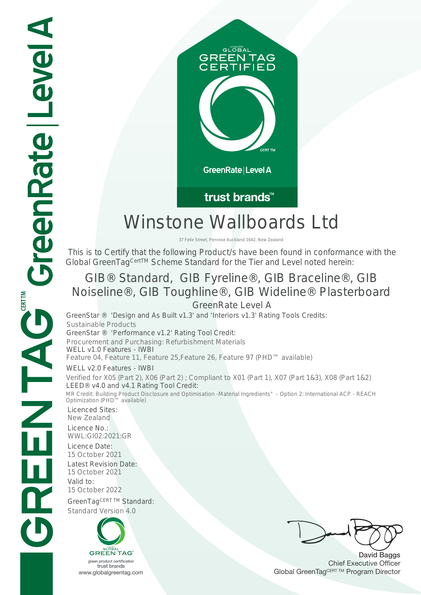

## trust brands<sup>™</sup>

# Winstone Wallboards Ltd

37 Felix Street, Penrose Auckland 1642, New Zealand

 This is to Certify that the following Product/s have been found in conformance with the Global GreenTag<sup>CertTM</sup> Scheme Standard for the Tier and Level noted herein:

## GIB® Standard, GIB Fyreline®, GIB Braceline®, GIB Noiseline®, GIB Toughline®, GIB Wideline® Plasterboard GreenRate Level A

GreenStar ® 'Design and As Built v1.3' and 'Interiors v1.3' Rating Tools Credits: Sustainable Products GreenStar ® 'Performance v1.2' Rating Tool Credit: Procurement and Purchasing: Refurbishment Materials WELL v1.0 Features - IWBI<br>Feature 04, Feature 11, Feature 25, Feature 26, Feature 97 (PHD™ available) WELL v2.0 Features - IWBI Verified for X05 (Part 2), X06 (Part 2) ; Compliant to X01 (Part 1), X07 (Part 1&3), X08 (Part 1&2) LEED® v4.0 and v4.1 Rating Tool Credit: MR Credit: Building Product Disclosure and Optimisation -Material Ingredients" - Option 2: International ACP - REACH

Licenced Sites: New Zealand Licence No.: WWL:GI02:2021:GR Licence Date: 15 October 2021 Latest Revision Date: 15 October 2021 Valid to: 15 October 2022 GreenTagCERT TM Standard: Standard Version 4.0 Optimization (PHD™ available)



David Baggs Chief Executive Officer WWW.globalgreentag.com Web States and Changes and Changes and Changes and Changes and Changes and Changes and Changes and Changes and Changes and Changes and Changes and Changes and Changes and Changes and Changes and Chan